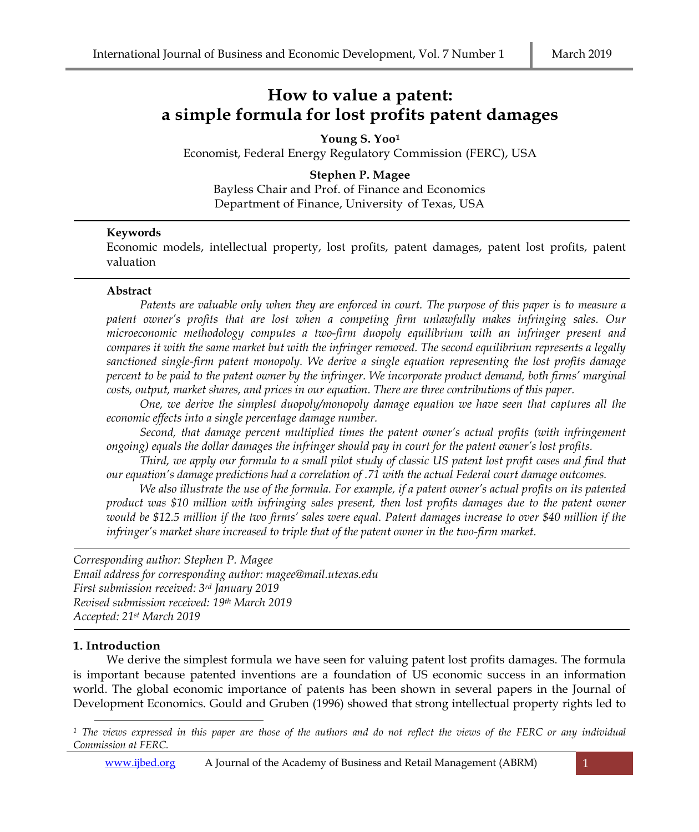# **How to value a patent: a simple formula for lost profits patent damages**

**Young S. Yoo<sup>1</sup>**

Economist, Federal Energy Regulatory Commission (FERC), USA

**Stephen P. Magee** Bayless Chair and Prof. of Finance and Economics Department of Finance, University of Texas, USA

# **Keywords**

Economic models, intellectual property, lost profits, patent damages, patent lost profits, patent valuation

#### **Abstract**

*Patents are valuable only when they are enforced in court. The purpose of this paper is to measure a patent owner's profits that are lost when a competing firm unlawfully makes infringing sales. Our microeconomic methodology computes a two-firm duopoly equilibrium with an infringer present and compares it with the same market but with the infringer removed. The second equilibrium represents a legally sanctioned single-firm patent monopoly. We derive a single equation representing the lost profits damage percent to be paid to the patent owner by the infringer. We incorporate product demand, both firms' marginal costs, output, market shares, and prices in our equation. There are three contributions of this paper.* 

*One, we derive the simplest duopoly/monopoly damage equation we have seen that captures all the economic effects into a single percentage damage number.*

*Second, that damage percent multiplied times the patent owner's actual profits (with infringement ongoing) equals the dollar damages the infringer should pay in court for the patent owner's lost profits.*

*Third, we apply our formula to a small pilot study of classic US patent lost profit cases and find that our equation's damage predictions had a correlation of .71 with the actual Federal court damage outcomes.* 

*We also illustrate the use of the formula. For example, if a patent owner's actual profits on its patented product was \$10 million with infringing sales present, then lost profits damages due to the patent owner would be \$12.5 million if the two firms' sales were equal. Patent damages increase to over \$40 million if the infringer's market share increased to triple that of the patent owner in the two-firm market.* 

*Corresponding author: Stephen P. Magee Email address for corresponding author: magee@mail.utexas.edu First submission received: 3 rd January 2019 Revised submission received: 19th March 2019 Accepted: 21 st March 2019*

# **1. Introduction**

We derive the simplest formula we have seen for valuing patent lost profits damages. The formula is important because patented inventions are a foundation of US economic success in an information world. The global economic importance of patents has been shown in several papers in the Journal of Development Economics. Gould and Gruben (1996) showed that strong intellectual property rights led to

*<sup>1</sup> The views expressed in this paper are those of the authors and do not reflect the views of the FERC or any individual Commission at FERC.*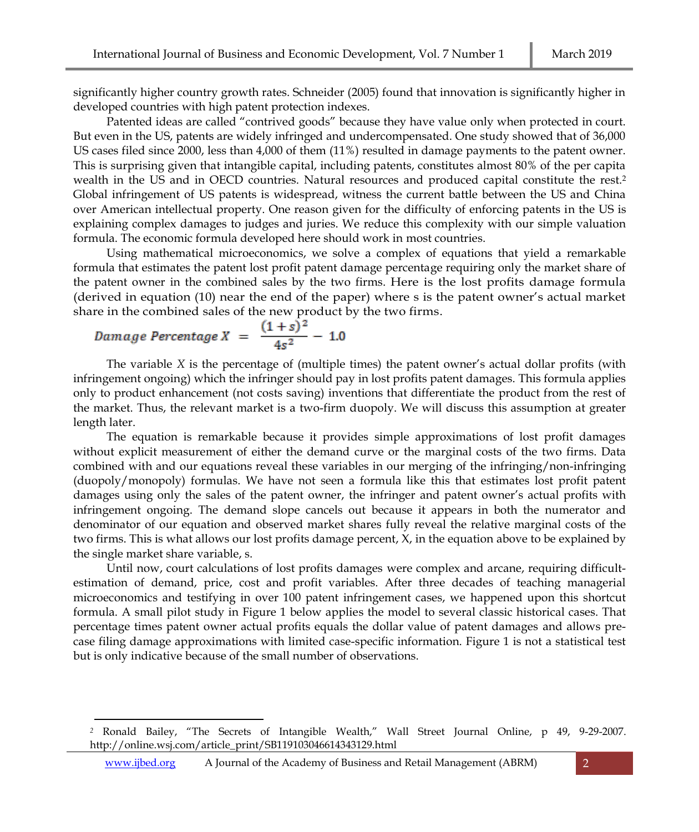significantly higher country growth rates. Schneider (2005) found that innovation is significantly higher in developed countries with high patent protection indexes.

Patented ideas are called "contrived goods" because they have value only when protected in court. But even in the US, patents are widely infringed and undercompensated. One study showed that of 36,000 US cases filed since 2000, less than 4,000 of them (11%) resulted in damage payments to the patent owner. This is surprising given that intangible capital, including patents, constitutes almost 80% of the per capita wealth in the US and in OECD countries. Natural resources and produced capital constitute the rest.<sup>2</sup> Global infringement of US patents is widespread, witness the current battle between the US and China over American intellectual property. One reason given for the difficulty of enforcing patents in the US is explaining complex damages to judges and juries. We reduce this complexity with our simple valuation formula. The economic formula developed here should work in most countries.

Using mathematical microeconomics, we solve a complex of equations that yield a remarkable formula that estimates the patent lost profit patent damage percentage requiring only the market share of the patent owner in the combined sales by the two firms. Here is the lost profits damage formula (derived in equation (10) near the end of the paper) where s is the patent owner's actual market share in the combined sales of the new product by the two firms.

$$
Damage\,\,Percentage\,\,X\,\,=\,\,\frac{(1+s)^2}{4s^2}\,-\,1.0
$$

The variable *X* is the percentage of (multiple times) the patent owner's actual dollar profits (with infringement ongoing) which the infringer should pay in lost profits patent damages. This formula applies only to product enhancement (not costs saving) inventions that differentiate the product from the rest of the market. Thus, the relevant market is a two-firm duopoly. We will discuss this assumption at greater length later.

The equation is remarkable because it provides simple approximations of lost profit damages without explicit measurement of either the demand curve or the marginal costs of the two firms. Data combined with and our equations reveal these variables in our merging of the infringing/non-infringing (duopoly/monopoly) formulas. We have not seen a formula like this that estimates lost profit patent damages using only the sales of the patent owner, the infringer and patent owner's actual profits with infringement ongoing. The demand slope cancels out because it appears in both the numerator and denominator of our equation and observed market shares fully reveal the relative marginal costs of the two firms. This is what allows our lost profits damage percent, X, in the equation above to be explained by the single market share variable, s.

Until now, court calculations of lost profits damages were complex and arcane, requiring difficultestimation of demand, price, cost and profit variables. After three decades of teaching managerial microeconomics and testifying in over 100 patent infringement cases, we happened upon this shortcut formula. A small pilot study in Figure 1 below applies the model to several classic historical cases. That percentage times patent owner actual profits equals the dollar value of patent damages and allows precase filing damage approximations with limited case-specific information. Figure 1 is not a statistical test but is only indicative because of the small number of observations.

*<sup>2</sup>* Ronald Bailey, "The Secrets of Intangible Wealth," Wall Street Journal Online, p 49, 9-29-2007. [http://online.wsj.com/article\\_print/SB119103046614343129.html](http://online.wsj.com/article_print/SB119103046614343129.html)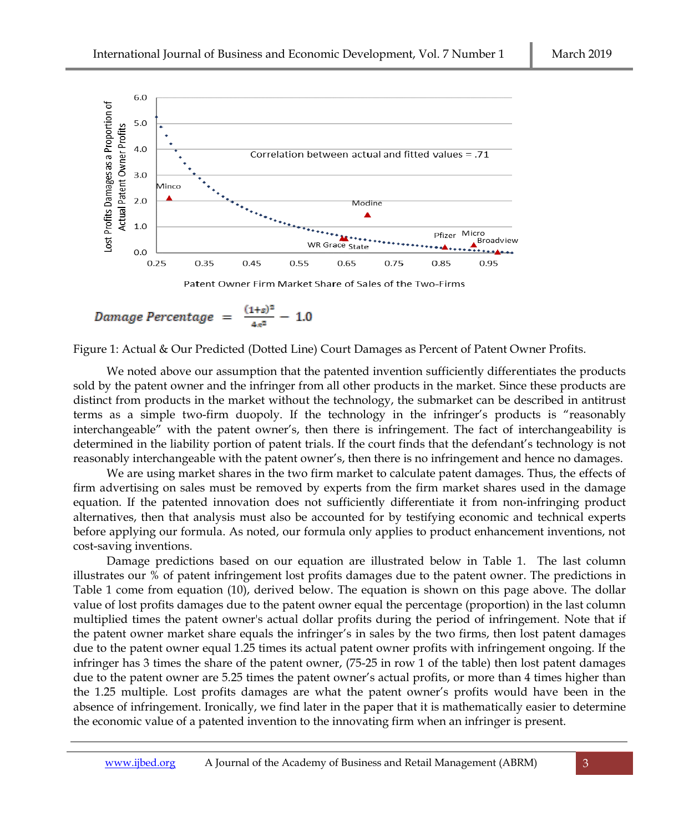

$$
Damage\ Percentage\ =\ \frac{(1+s)^2}{4s^2}\ -\ 1.0
$$

Figure 1: Actual & Our Predicted (Dotted Line) Court Damages as Percent of Patent Owner Profits.

We noted above our assumption that the patented invention sufficiently differentiates the products sold by the patent owner and the infringer from all other products in the market. Since these products are distinct from products in the market without the technology, the submarket can be described in antitrust terms as a simple two-firm duopoly. If the technology in the infringer's products is "reasonably interchangeable" with the patent owner's, then there is infringement. The fact of interchangeability is determined in the liability portion of patent trials. If the court finds that the defendant's technology is not reasonably interchangeable with the patent owner's, then there is no infringement and hence no damages.

We are using market shares in the two firm market to calculate patent damages. Thus, the effects of firm advertising on sales must be removed by experts from the firm market shares used in the damage equation. If the patented innovation does not sufficiently differentiate it from non-infringing product alternatives, then that analysis must also be accounted for by testifying economic and technical experts before applying our formula. As noted, our formula only applies to product enhancement inventions, not cost-saving inventions.

Damage predictions based on our equation are illustrated below in Table 1. The last column illustrates our % of patent infringement lost profits damages due to the patent owner. The predictions in Table 1 come from equation (10), derived below. The equation is shown on this page above. The dollar value of lost profits damages due to the patent owner equal the percentage (proportion) in the last column multiplied times the patent owner's actual dollar profits during the period of infringement. Note that if the patent owner market share equals the infringer's in sales by the two firms, then lost patent damages due to the patent owner equal 1.25 times its actual patent owner profits with infringement ongoing. If the infringer has 3 times the share of the patent owner, (75-25 in row 1 of the table) then lost patent damages due to the patent owner are 5.25 times the patent owner's actual profits, or more than 4 times higher than the 1.25 multiple. Lost profits damages are what the patent owner's profits would have been in the absence of infringement. Ironically, we find later in the paper that it is mathematically easier to determine the economic value of a patented invention to the innovating firm when an infringer is present.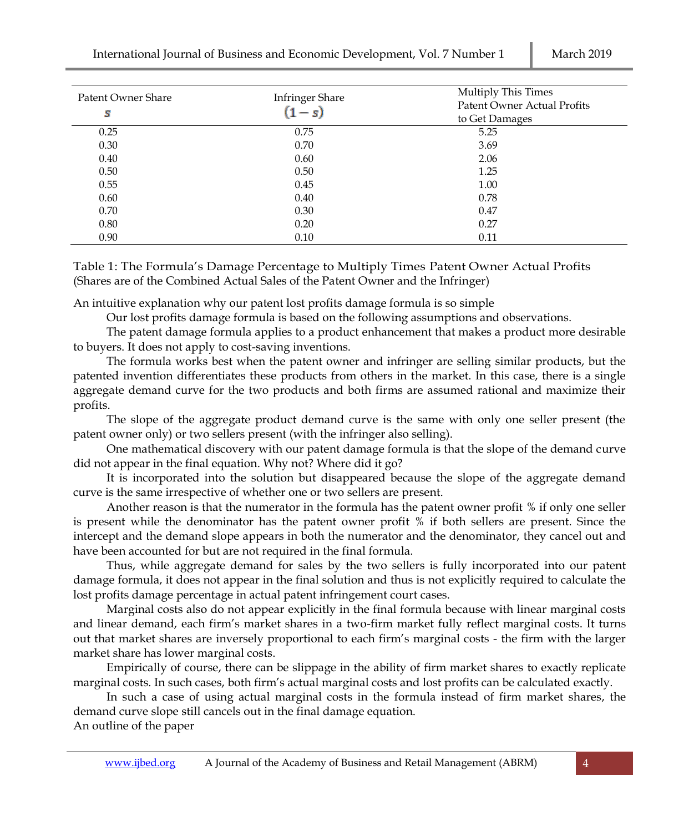International Journal of Business and Economic Development, Vol. 7 Number 1 March 2019

| Patent Owner Share<br>s | <b>Infringer Share</b><br>$(1 - s)$ | <b>Multiply This Times</b><br><b>Patent Owner Actual Profits</b><br>to Get Damages |  |  |
|-------------------------|-------------------------------------|------------------------------------------------------------------------------------|--|--|
| 0.25                    | 0.75                                | 5.25                                                                               |  |  |
| 0.30                    | 0.70                                | 3.69                                                                               |  |  |
| 0.40                    | 0.60                                | 2.06                                                                               |  |  |
| 0.50                    | 0.50                                | 1.25                                                                               |  |  |
| 0.55                    | 0.45                                | 1.00                                                                               |  |  |
| 0.60                    | 0.40                                | 0.78                                                                               |  |  |
| 0.70                    | 0.30                                | 0.47                                                                               |  |  |
| 0.80                    | 0.20                                | 0.27                                                                               |  |  |
| 0.90                    | 0.10                                | 0.11                                                                               |  |  |

Table 1: The Formula's Damage Percentage to Multiply Times Patent Owner Actual Profits (Shares are of the Combined Actual Sales of the Patent Owner and the Infringer)

An intuitive explanation why our patent lost profits damage formula is so simple

Our lost profits damage formula is based on the following assumptions and observations.

The patent damage formula applies to a product enhancement that makes a product more desirable to buyers. It does not apply to cost-saving inventions.

The formula works best when the patent owner and infringer are selling similar products, but the patented invention differentiates these products from others in the market. In this case, there is a single aggregate demand curve for the two products and both firms are assumed rational and maximize their profits.

The slope of the aggregate product demand curve is the same with only one seller present (the patent owner only) or two sellers present (with the infringer also selling).

One mathematical discovery with our patent damage formula is that the slope of the demand curve did not appear in the final equation. Why not? Where did it go?

It is incorporated into the solution but disappeared because the slope of the aggregate demand curve is the same irrespective of whether one or two sellers are present.

Another reason is that the numerator in the formula has the patent owner profit % if only one seller is present while the denominator has the patent owner profit % if both sellers are present. Since the intercept and the demand slope appears in both the numerator and the denominator, they cancel out and have been accounted for but are not required in the final formula.

Thus, while aggregate demand for sales by the two sellers is fully incorporated into our patent damage formula, it does not appear in the final solution and thus is not explicitly required to calculate the lost profits damage percentage in actual patent infringement court cases.

Marginal costs also do not appear explicitly in the final formula because with linear marginal costs and linear demand, each firm's market shares in a two-firm market fully reflect marginal costs. It turns out that market shares are inversely proportional to each firm's marginal costs - the firm with the larger market share has lower marginal costs.

Empirically of course, there can be slippage in the ability of firm market shares to exactly replicate marginal costs. In such cases, both firm's actual marginal costs and lost profits can be calculated exactly.

In such a case of using actual marginal costs in the formula instead of firm market shares, the demand curve slope still cancels out in the final damage equation. An outline of the paper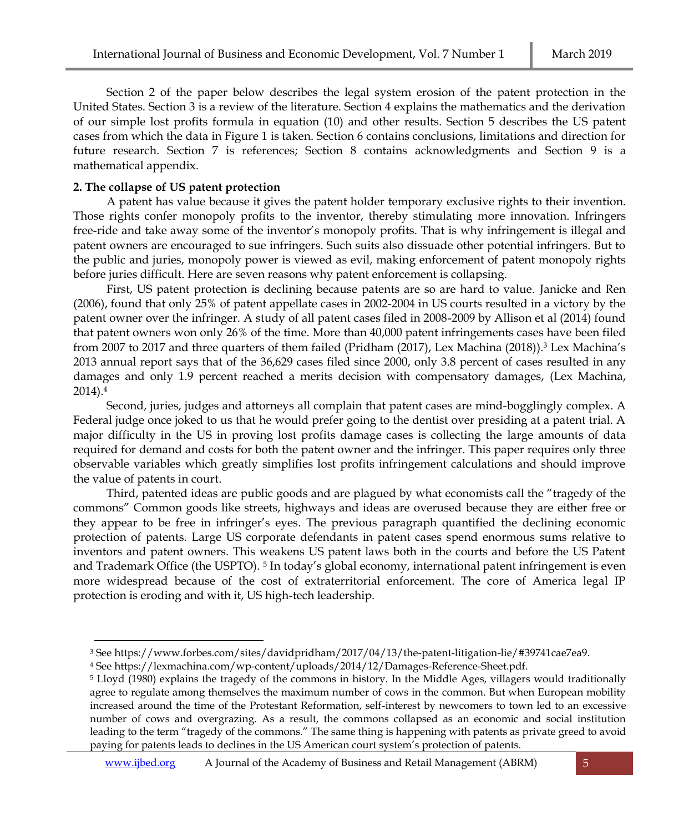Section 2 of the paper below describes the legal system erosion of the patent protection in the United States. Section 3 is a review of the literature. Section 4 explains the mathematics and the derivation of our simple lost profits formula in equation (10) and other results. Section 5 describes the US patent cases from which the data in Figure 1 is taken. Section 6 contains conclusions, limitations and direction for future research. Section 7 is references; Section 8 contains acknowledgments and Section 9 is a mathematical appendix.

# **2. The collapse of US patent protection**

A patent has value because it gives the patent holder temporary exclusive rights to their invention. Those rights confer monopoly profits to the inventor, thereby stimulating more innovation. Infringers free-ride and take away some of the inventor's monopoly profits. That is why infringement is illegal and patent owners are encouraged to sue infringers. Such suits also dissuade other potential infringers. But to the public and juries, monopoly power is viewed as evil, making enforcement of patent monopoly rights before juries difficult. Here are seven reasons why patent enforcement is collapsing.

First, US patent protection is declining because patents are so are hard to value. Janicke and Ren (2006), found that only 25% of patent appellate cases in 2002-2004 in US courts resulted in a victory by the patent owner over the infringer. A study of all patent cases filed in 2008-2009 by Allison et al (2014) found that patent owners won only 26% of the time. More than 40,000 patent infringements cases have been filed from 2007 to 2017 and three quarters of them failed (Pridham (2017), Lex Machina (2018)).<sup>3</sup> Lex Machina's 2013 annual report says that of the 36,629 cases filed since 2000, only 3.8 percent of cases resulted in any damages and only 1.9 percent reached a merits decision with compensatory damages, (Lex Machina, 2014). 4

Second, juries, judges and attorneys all complain that patent cases are mind-bogglingly complex. A Federal judge once joked to us that he would prefer going to the dentist over presiding at a patent trial. A major difficulty in the US in proving lost profits damage cases is collecting the large amounts of data required for demand and costs for both the patent owner and the infringer. This paper requires only three observable variables which greatly simplifies lost profits infringement calculations and should improve the value of patents in court.

Third, patented ideas are public goods and are plagued by what economists call the "tragedy of the commons" Common goods like streets, highways and ideas are overused because they are either free or they appear to be free in infringer's eyes. The previous paragraph quantified the declining economic protection of patents. Large US corporate defendants in patent cases spend enormous sums relative to inventors and patent owners. This weakens US patent laws both in the courts and before the US Patent and Trademark Office (the USPTO). <sup>5</sup> In today's global economy, international patent infringement is even more widespread because of the cost of extraterritorial enforcement. The core of America legal IP protection is eroding and with it, US high-tech leadership.

<sup>3</sup> Se[e https://www.forbes.com/sites/davidpridham/2017/04/13/the-patent-litigation-lie/#39741cae7ea9.](https://www.forbes.com/sites/davidpridham/2017/04/13/the-patent-litigation-lie/#39741cae7ea9)

<sup>4</sup> Se[e https://lexmachina.com/wp-content/uploads/2014/12/Damages-Reference-Sheet.pdf.](https://lexmachina.com/wp-content/uploads/2014/12/Damages-Reference-Sheet.pdf)

<sup>5</sup> Lloyd (1980) explains the tragedy of the commons in history. In the Middle Ages, villagers would traditionally agree to regulate among themselves the maximum number of cows in the common. But when European mobility increased around the time of the Protestant Reformation, self-interest by newcomers to town led to an excessive number of cows and overgrazing. As a result, the commons collapsed as an economic and social institution leading to the term "tragedy of the commons." The same thing is happening with patents as private greed to avoid paying for patents leads to declines in the US American court system's protection of patents.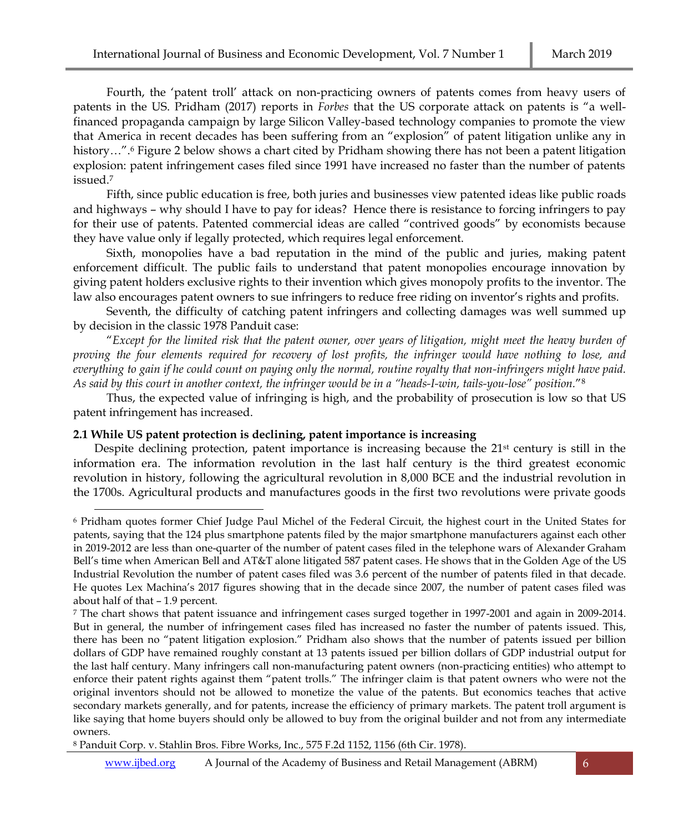Fourth, the 'patent troll' attack on non-practicing owners of patents comes from heavy users of patents in the US. Pridham (2017) reports in *Forbes* that the US corporate attack on patents is "a wellfinanced propaganda campaign by large Silicon Valley-based technology companies to promote the view that America in recent decades has been suffering from an "explosion" of patent litigation unlike any in history…".<sup>6</sup> Figure 2 below shows a chart cited by Pridham showing there has not been a patent litigation explosion: patent infringement cases filed since 1991 have increased no faster than the number of patents issued.<sup>7</sup>

Fifth, since public education is free, both juries and businesses view patented ideas like public roads and highways – why should I have to pay for ideas? Hence there is resistance to forcing infringers to pay for their use of patents. Patented commercial ideas are called "contrived goods" by economists because they have value only if legally protected, which requires legal enforcement.

Sixth, monopolies have a bad reputation in the mind of the public and juries, making patent enforcement difficult. The public fails to understand that patent monopolies encourage innovation by giving patent holders exclusive rights to their invention which gives monopoly profits to the inventor. The law also encourages patent owners to sue infringers to reduce free riding on inventor's rights and profits.

Seventh, the difficulty of catching patent infringers and collecting damages was well summed up by decision in the classic 1978 Panduit case:

"*Except for the limited risk that the patent owner, over years of litigation, might meet the heavy burden of proving the four elements required for recovery of lost profits, the infringer would have nothing to lose, and everything to gain if he could count on paying only the normal, routine royalty that non-infringers might have paid. As said by this court in another context, the infringer would be in a "heads-I-win, tails-you-lose" position.*" 8

Thus, the expected value of infringing is high, and the probability of prosecution is low so that US patent infringement has increased.

# **2.1 While US patent protection is declining, patent importance is increasing**

Despite declining protection, patent importance is increasing because the 21<sup>st</sup> century is still in the information era. The information revolution in the last half century is the third greatest economic revolution in history, following the agricultural revolution in 8,000 BCE and the industrial revolution in the 1700s. Agricultural products and manufactures goods in the first two revolutions were private goods

<sup>6</sup> Pridham quotes former Chief Judge Paul Michel of the Federal Circuit, the highest court in the United States for patents, saying that the 124 plus smartphone patents filed by the major smartphone manufacturers against each other in 2019-2012 are less than one-quarter of the number of patent cases filed in the telephone wars of Alexander Graham Bell's time when American Bell and AT&T alone litigated 587 patent cases. He shows that in the Golden Age of the US Industrial Revolution the number of patent cases filed was 3.6 percent of the number of patents filed in that decade. He quotes Lex Machina's 2017 figures showing that in the decade since 2007, the number of patent cases filed was about half of that – 1.9 percent.

<sup>7</sup> The chart shows that patent issuance and infringement cases surged together in 1997-2001 and again in 2009-2014. But in general, the number of infringement cases filed has increased no faster the number of patents issued. This, there has been no "patent litigation explosion." Pridham also shows that the number of patents issued per billion dollars of GDP have remained roughly constant at 13 patents issued per billion dollars of GDP industrial output for the last half century. Many infringers call non-manufacturing patent owners (non-practicing entities) who attempt to enforce their patent rights against them "patent trolls." The infringer claim is that patent owners who were not the original inventors should not be allowed to monetize the value of the patents. But economics teaches that active secondary markets generally, and for patents, increase the efficiency of primary markets. The patent troll argument is like saying that home buyers should only be allowed to buy from the original builder and not from any intermediate owners.

<sup>8</sup> Panduit Corp. v. Stahlin Bros. Fibre Works, Inc., 575 F.2d 1152, 1156 (6th Cir. 1978).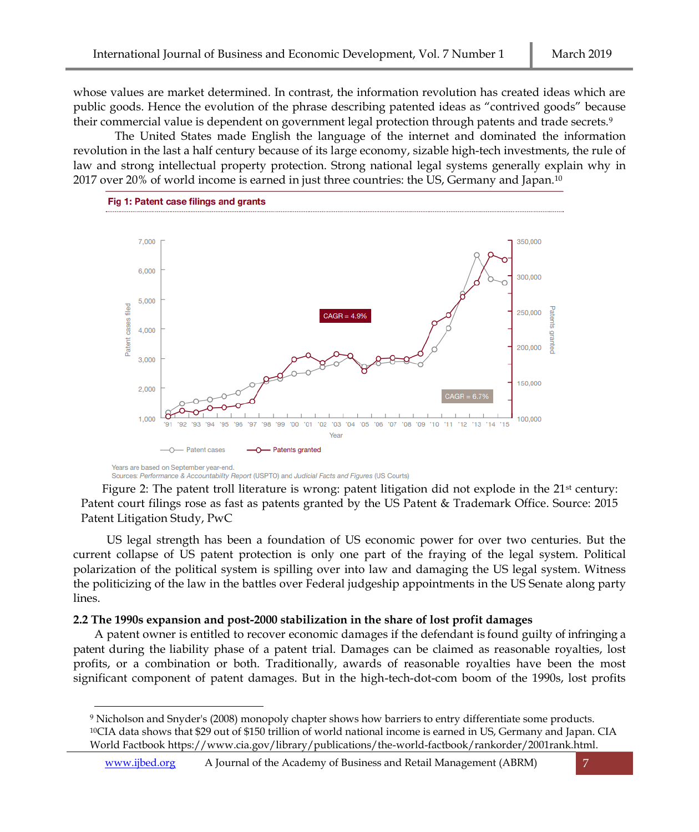whose values are market determined. In contrast, the information revolution has created ideas which are public goods. Hence the evolution of the phrase describing patented ideas as "contrived goods" because their commercial value is dependent on government legal protection through patents and trade secrets.<sup>9</sup>

The United States made English the language of the internet and dominated the information revolution in the last a half century because of its large economy, sizable high-tech investments, the rule of law and strong intellectual property protection. Strong national legal systems generally explain why in 2017 over 20% of world income is earned in just three countries: the US, Germany and Japan.<sup>10</sup>



Sources: Performance & Accountability Report (USPTO) and Judicial Facts and Figures (US Courts)

Figure 2: The patent troll literature is wrong: patent litigation did not explode in the  $21<sup>st</sup>$  century: Patent court filings rose as fast as patents granted by the US Patent & Trademark Office. Source: 2015 Patent Litigation Study, PwC

US legal strength has been a foundation of US economic power for over two centuries. But the current collapse of US patent protection is only one part of the fraying of the legal system. Political polarization of the political system is spilling over into law and damaging the US legal system. Witness the politicizing of the law in the battles over Federal judgeship appointments in the US Senate along party lines.

# **2.2 The 1990s expansion and post-2000 stabilization in the share of lost profit damages**

A patent owner is entitled to recover economic damages if the defendant is found guilty of infringing a patent during the liability phase of a patent trial. Damages can be claimed as reasonable royalties, lost profits, or a combination or both. Traditionally, awards of reasonable royalties have been the most significant component of patent damages. But in the high-tech-dot-com boom of the 1990s, lost profits

 <sup>9</sup> Nicholson and Snyder's (2008) monopoly chapter shows how barriers to entry differentiate some products. <sup>10</sup>CIA data shows that \$29 out of \$150 trillion of world national income is earned in US, Germany and Japan. CIA World Factbook [https://www.cia.gov/library/publications/the-world-factbook/rankorder/2001rank.html.](https://www.cia.gov/library/publications/the-world-factbook/rankorder/2001rank.html)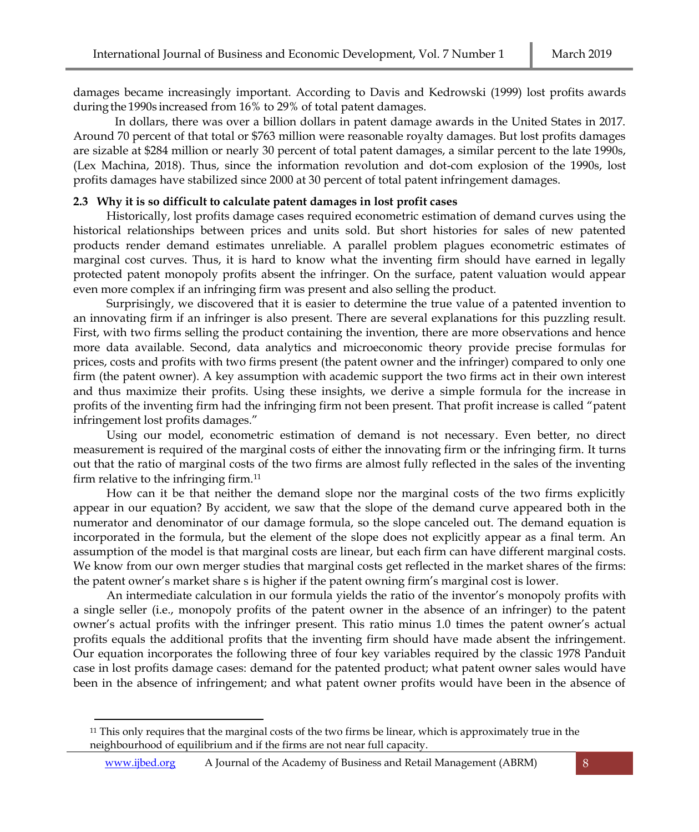damages became increasingly important. According to Davis and Kedrowski (1999) lost profits awards duringthe 1990s increased from 16% to 29% of total patent damages.

In dollars, there was over a billion dollars in patent damage awards in the United States in 2017. Around 70 percent of that total or \$763 million were reasonable royalty damages. But lost profits damages are sizable at \$284 million or nearly 30 percent of total patent damages, a similar percent to the late 1990s, (Lex Machina, 2018). Thus, since the information revolution and dot-com explosion of the 1990s, lost profits damages have stabilized since 2000 at 30 percent of total patent infringement damages.

# **2.3 Why it is so difficult to calculate patent damages in lost profit cases**

Historically, lost profits damage cases required econometric estimation of demand curves using the historical relationships between prices and units sold. But short histories for sales of new patented products render demand estimates unreliable. A parallel problem plagues econometric estimates of marginal cost curves. Thus, it is hard to know what the inventing firm should have earned in legally protected patent monopoly profits absent the infringer. On the surface, patent valuation would appear even more complex if an infringing firm was present and also selling the product.

Surprisingly, we discovered that it is easier to determine the true value of a patented invention to an innovating firm if an infringer is also present. There are several explanations for this puzzling result. First, with two firms selling the product containing the invention, there are more observations and hence more data available. Second, data analytics and microeconomic theory provide precise formulas for prices, costs and profits with two firms present (the patent owner and the infringer) compared to only one firm (the patent owner). A key assumption with academic support the two firms act in their own interest and thus maximize their profits. Using these insights, we derive a simple formula for the increase in profits of the inventing firm had the infringing firm not been present. That profit increase is called "patent infringement lost profits damages."

Using our model, econometric estimation of demand is not necessary. Even better, no direct measurement is required of the marginal costs of either the innovating firm or the infringing firm. It turns out that the ratio of marginal costs of the two firms are almost fully reflected in the sales of the inventing firm relative to the infringing firm.<sup>11</sup>

How can it be that neither the demand slope nor the marginal costs of the two firms explicitly appear in our equation? By accident, we saw that the slope of the demand curve appeared both in the numerator and denominator of our damage formula, so the slope canceled out. The demand equation is incorporated in the formula, but the element of the slope does not explicitly appear as a final term. An assumption of the model is that marginal costs are linear, but each firm can have different marginal costs. We know from our own merger studies that marginal costs get reflected in the market shares of the firms: the patent owner's market share s is higher if the patent owning firm's marginal cost is lower.

An intermediate calculation in our formula yields the ratio of the inventor's monopoly profits with a single seller (i.e., monopoly profits of the patent owner in the absence of an infringer) to the patent owner's actual profits with the infringer present. This ratio minus 1.0 times the patent owner's actual profits equals the additional profits that the inventing firm should have made absent the infringement. Our equation incorporates the following three of four key variables required by the classic 1978 Panduit case in lost profits damage cases: demand for the patented product; what patent owner sales would have been in the absence of infringement; and what patent owner profits would have been in the absence of

<sup>11</sup> This only requires that the marginal costs of the two firms be linear, which is approximately true in the neighbourhood of equilibrium and if the firms are not near full capacity.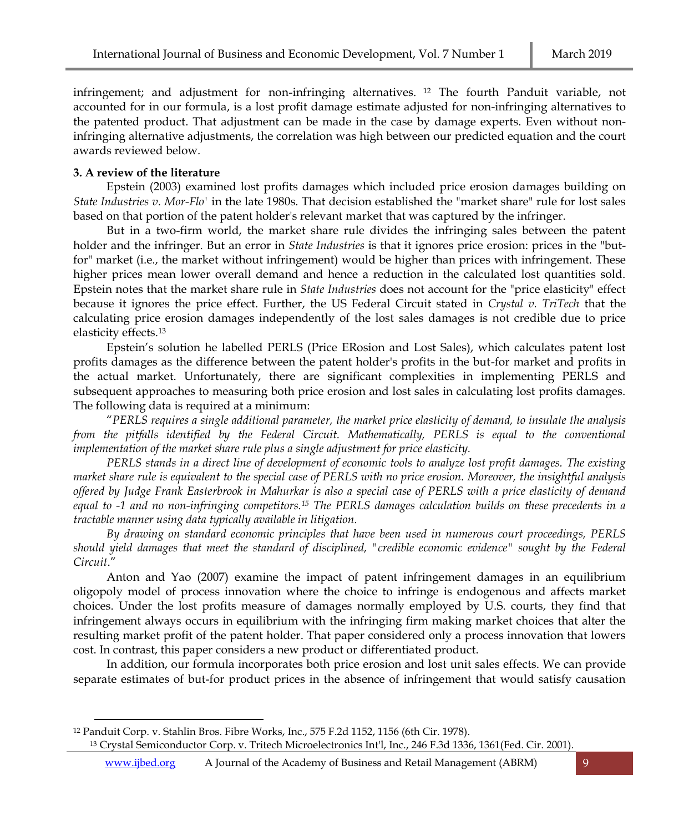infringement; and adjustment for non-infringing alternatives. <sup>12</sup> The fourth Panduit variable, not accounted for in our formula, is a lost profit damage estimate adjusted for non-infringing alternatives to the patented product. That adjustment can be made in the case by damage experts. Even without noninfringing alternative adjustments, the correlation was high between our predicted equation and the court awards reviewed below.

# **3. A review of the literature**

Epstein (2003) examined lost profits damages which included price erosion damages building on *State Industries v. Mor-Flo'* in the late 1980s. That decision established the "market share" rule for lost sales based on that portion of the patent holder's relevant market that was captured by the infringer.

But in a two-firm world, the market share rule divides the infringing sales between the patent holder and the infringer. But an error in *State Industries* is that it ignores price erosion: prices in the "butfor" market (i.e., the market without infringement) would be higher than prices with infringement. These higher prices mean lower overall demand and hence a reduction in the calculated lost quantities sold. Epstein notes that the market share rule in *State Industries* does not account for the "price elasticity" effect because it ignores the price effect. Further, the US Federal Circuit stated in *Crystal v. TriTech* that the calculating price erosion damages independently of the lost sales damages is not credible due to price elasticity effects.<sup>13</sup>

Epstein's solution he labelled PERLS (Price ERosion and Lost Sales), which calculates patent lost profits damages as the difference between the patent holder's profits in the but-for market and profits in the actual market. Unfortunately, there are significant complexities in implementing PERLS and subsequent approaches to measuring both price erosion and lost sales in calculating lost profits damages. The following data is required at a minimum:

"*PERLS requires a single additional parameter, the market price elasticity of demand, to insulate the analysis from the pitfalls identified by the Federal Circuit. Mathematically, PERLS is equal to the conventional implementation of the market share rule plus a single adjustment for price elasticity.*

*PERLS stands in a direct line of development of economic tools to analyze lost profit damages. The existing market share rule is equivalent to the special case of PERLS with no price erosion. Moreover, the insightful analysis offered by Judge Frank Easterbrook in Mahurkar is also a special case of PERLS with a price elasticity of demand equal to -1 and no non-infringing competitors.<sup>15</sup> The PERLS damages calculation builds on these precedents in a tractable manner using data typically available in litigation.*

*By drawing on standard economic principles that have been used in numerous court proceedings, PERLS should yield damages that meet the standard of disciplined, "credible economic evidence" sought by the Federal Circuit*."

Anton and Yao (2007) examine the impact of patent infringement damages in an equilibrium oligopoly model of process innovation where the choice to infringe is endogenous and affects market choices. Under the lost profits measure of damages normally employed by U.S. courts, they find that infringement always occurs in equilibrium with the infringing firm making market choices that alter the resulting market profit of the patent holder. That paper considered only a process innovation that lowers cost. In contrast, this paper considers a new product or differentiated product.

In addition, our formula incorporates both price erosion and lost unit sales effects. We can provide separate estimates of but-for product prices in the absence of infringement that would satisfy causation

<sup>12</sup> Panduit Corp. v. Stahlin Bros. Fibre Works, Inc., 575 F.2d 1152, 1156 (6th Cir. 1978). <sup>13</sup> Crystal Semiconductor Corp. v. Tritech Microelectronics Int'l, Inc., 246 F.3d 1336, 1361(Fed. Cir. 2001).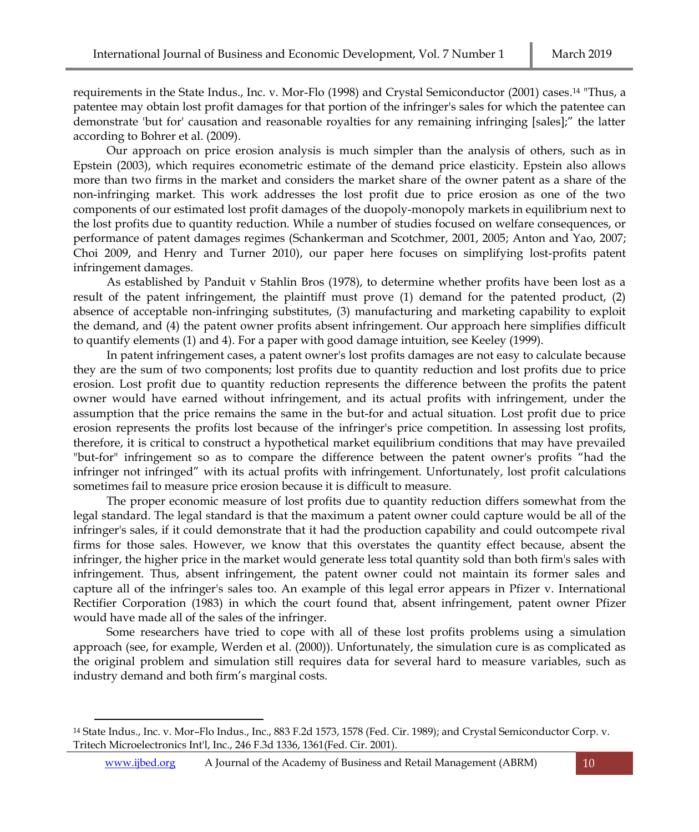requirements in the State Indus., Inc. v. Mor-Flo (1998) and Crystal Semiconductor (2001) cases. <sup>14</sup> "Thus, a patentee may obtain lost profit damages for that portion of the infringer's sales for which the patentee can demonstrate 'but for' causation and reasonable royalties for any remaining infringing [sales];" the latter according to Bohrer et al. (2009).

Our approach on price erosion analysis is much simpler than the analysis of others, such as in Epstein (2003), which requires econometric estimate of the demand price elasticity. Epstein also allows more than two firms in the market and considers the market share of the owner patent as a share of the non-infringing market. This work addresses the lost profit due to price erosion as one of the two components of our estimated lost profit damages of the duopoly-monopoly markets in equilibrium next to the lost profits due to quantity reduction. While a number of studies focused on welfare consequences, or performance of patent damages regimes (Schankerman and Scotchmer, 2001, 2005; Anton and Yao, 2007; Choi 2009, and Henry and Turner 2010), our paper here focuses on simplifying lost-profits patent infringement damages.

As established by Panduit v Stahlin Bros (1978), to determine whether profits have been lost as a result of the patent infringement, the plaintiff must prove (1) demand for the patented product, (2) absence of acceptable non-infringing substitutes, (3) manufacturing and marketing capability to exploit the demand, and (4) the patent owner profits absent infringement. Our approach here simplifies difficult to quantify elements (1) and 4). For a paper with good damage intuition, see Keeley (1999).

In patent infringement cases, a patent owner's lost profits damages are not easy to calculate because they are the sum of two components; lost profits due to quantity reduction and lost profits due to price erosion. Lost profit due to quantity reduction represents the difference between the profits the patent owner would have earned without infringement, and its actual profits with infringement, under the assumption that the price remains the same in the but-for and actual situation. Lost profit due to price erosion represents the profits lost because of the infringer's price competition. In assessing lost profits, therefore, it is critical to construct a hypothetical market equilibrium conditions that may have prevailed "but-for" infringement so as to compare the difference between the patent owner's profits "had the infringer not infringed" with its actual profits with infringement. Unfortunately, lost profit calculations sometimes fail to measure price erosion because it is difficult to measure.

The proper economic measure of lost profits due to quantity reduction differs somewhat from the legal standard. The legal standard is that the maximum a patent owner could capture would be all of the infringer's sales, if it could demonstrate that it had the production capability and could outcompete rival firms for those sales. However, we know that this overstates the quantity effect because, absent the infringer, the higher price in the market would generate less total quantity sold than both firm's sales with infringement. Thus, absent infringement, the patent owner could not maintain its former sales and capture all of the infringer's sales too. An example of this legal error appears in Pfizer v. International Rectifier Corporation (1983) in which the court found that, absent infringement, patent owner Pfizer would have made all of the sales of the infringer.

Some researchers have tried to cope with all of these lost profits problems using a simulation approach (see, for example, Werden et al. (2000)). Unfortunately, the simulation cure is as complicated as the original problem and simulation still requires data for several hard to measure variables, such as industry demand and both firm's marginal costs.

<sup>14</sup> State Indus., Inc. v. Mor–Flo Indus., Inc., 883 F.2d 1573, 1578 (Fed. Cir. 1989); and Crystal Semiconductor Corp. v. Tritech Microelectronics Int'l, Inc., 246 F.3d 1336, 1361(Fed. Cir. 2001).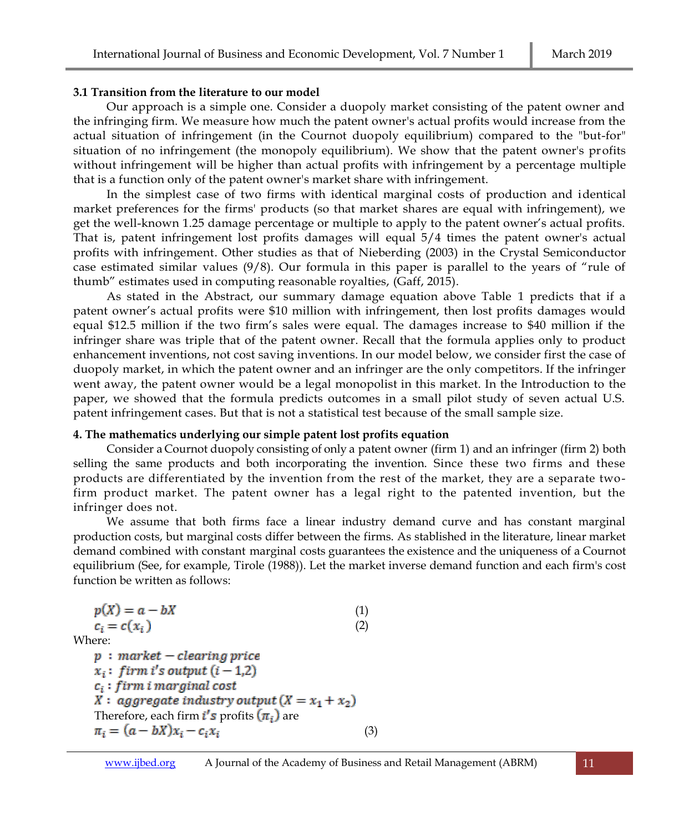# **3.1 Transition from the literature to our model**

Our approach is a simple one. Consider a duopoly market consisting of the patent owner and the infringing firm. We measure how much the patent owner's actual profits would increase from the actual situation of infringement (in the Cournot duopoly equilibrium) compared to the "but-for" situation of no infringement (the monopoly equilibrium). We show that the patent owner's profits without infringement will be higher than actual profits with infringement by a percentage multiple that is a function only of the patent owner's market share with infringement.

In the simplest case of two firms with identical marginal costs of production and identical market preferences for the firms' products (so that market shares are equal with infringement), we get the well-known 1.25 damage percentage or multiple to apply to the patent owner's actual profits. That is, patent infringement lost profits damages will equal 5/4 times the patent owner's actual profits with infringement. Other studies as that of Nieberding (2003) in the Crystal Semiconductor case estimated similar values (9/8). Our formula in this paper is parallel to the years of "rule of thumb" estimates used in computing reasonable royalties, (Gaff, 2015).

As stated in the Abstract, our summary damage equation above Table 1 predicts that if a patent owner's actual profits were \$10 million with infringement, then lost profits damages would equal \$12.5 million if the two firm's sales were equal. The damages increase to \$40 million if the infringer share was triple that of the patent owner. Recall that the formula applies only to product enhancement inventions, not cost saving inventions. In our model below, we consider first the case of duopoly market, in which the patent owner and an infringer are the only competitors. If the infringer went away, the patent owner would be a legal monopolist in this market. In the Introduction to the paper, we showed that the formula predicts outcomes in a small pilot study of seven actual U.S. patent infringement cases. But that is not a statistical test because of the small sample size.

# **4. The mathematics underlying our simple patent lost profits equation**

Consider a Cournot duopoly consisting of only a patent owner (firm 1) and an infringer (firm 2) both selling the same products and both incorporating the invention. Since these two firms and these products are differentiated by the invention from the rest of the market, they are a separate twofirm product market. The patent owner has a legal right to the patented invention, but the infringer does not.

We assume that both firms face a linear industry demand curve and has constant marginal production costs, but marginal costs differ between the firms. As stablished in the literature, linear market demand combined with constant marginal costs guarantees the existence and the uniqueness of a Cournot equilibrium (See, for example, Tirole (1988)). Let the market inverse demand function and each firm's cost function be written as follows:

 $p(X) = a - bX$  (1)  $c_i = c(x_i)$  (2) Where:  $p:$  market - clearing price  $x_i$ : firm i's output (i - 1,2)  $c_i$ : firm i marginal cost X: aggregate industry output  $(X = x_1 + x_2)$ Therefore, each firm  $i's$  profits  $(\pi_i)$  are  $\pi_i = (a - bX)x_i - c_i x_i$ (3)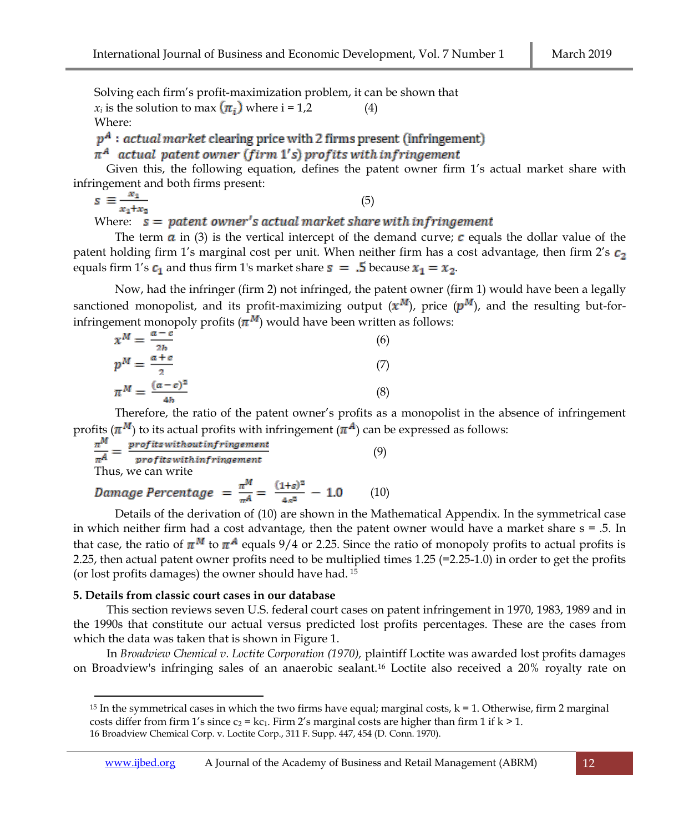Solving each firm's profit-maximization problem, it can be shown that  $x_i$  is the solution to max  $(\pi_i)$  where  $i = 1,2$  (4) Where:

 $p^A$ : actual market clearing price with 2 firms present (infringement)

 $\pi^A$  actual patent owner (firm 1's) profits with infringement

Given this, the following equation, defines the patent owner firm 1's actual market share with infringement and both firms present:

$$
s \equiv \frac{x_1}{x_1 + x_2} \tag{5}
$$

Where:  $s =$  patent owner's actual market share with infringement

The term  $\alpha$  in (3) is the vertical intercept of the demand curve;  $\alpha$  equals the dollar value of the patent holding firm 1's marginal cost per unit. When neither firm has a cost advantage, then firm 2's  $c_2$ equals firm 1's  $c_1$  and thus firm 1's market share  $s = .5$  because  $x_1 = x_2$ .

Now, had the infringer (firm 2) not infringed, the patent owner (firm 1) would have been a legally sanctioned monopolist, and its profit-maximizing output  $(x^M)$ , price  $(p^M)$ , and the resulting but-forinfringement monopoly profits  $(\pi^M)$  would have been written as follows:

$$
x^{M} = \frac{a - c}{2b}
$$
  
\n
$$
p^{M} = \frac{a + c}{2}
$$
  
\n
$$
\pi^{M} = \frac{(a - c)^{2}}{4b}
$$
  
\n(8)

Therefore, the ratio of the patent owner's profits as a monopolist in the absence of infringement profits  $(\pi^M)$  to its actual profits with infringement  $(\pi^A)$  can be expressed as follows:

$$
\frac{\pi^M}{\pi^A} = \frac{profits without infringement}{profits within fringement}
$$
\n(9)

\nThus, we can write

# (10)

Details of the derivation of (10) are shown in the Mathematical Appendix. In the symmetrical case in which neither firm had a cost advantage, then the patent owner would have a market share  $s = .5$ . In that case, the ratio of  $\pi^M$  to  $\pi^A$  equals 9/4 or 2.25. Since the ratio of monopoly profits to actual profits is 2.25, then actual patent owner profits need to be multiplied times 1.25 (=2.25-1.0) in order to get the profits (or lost profits damages) the owner should have had. <sup>15</sup>

# **5. Details from classic court cases in our database**

This section reviews seven U.S. federal court cases on patent infringement in 1970, 1983, 1989 and in the 1990s that constitute our actual versus predicted lost profits percentages. These are the cases from which the data was taken that is shown in Figure 1.

In *Broadview Chemical v. Loctite Corporation (1970),* plaintiff Loctite was awarded lost profits damages on Broadview's infringing sales of an anaerobic sealant.<sup>16</sup> Loctite also received a 20% royalty rate on

<sup>&</sup>lt;sup>15</sup> In the symmetrical cases in which the two firms have equal; marginal costs,  $k = 1$ . Otherwise, firm 2 marginal costs differ from firm 1's since  $c_2 = kc_1$ . Firm 2's marginal costs are higher than firm 1 if  $k > 1$ . 16 Broadview Chemical Corp. v. Loctite Corp., 311 F. Supp. 447, 454 (D. Conn. 1970).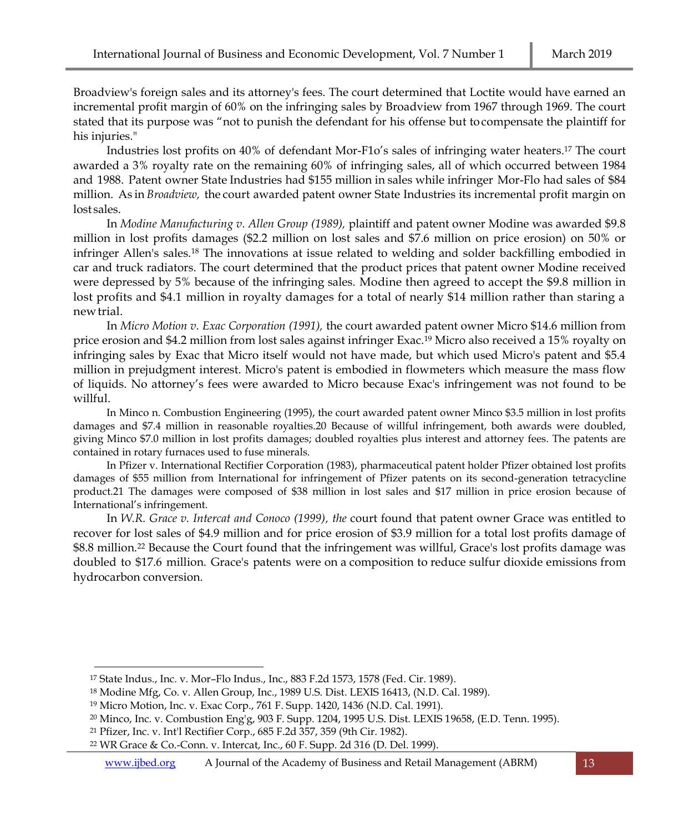Broadview's foreign sales and its attorney's fees. The court determined that Loctite would have earned an incremental profit margin of 60% on the infringing sales by Broadview from 1967 through 1969. The court stated that its purpose was "not to punish the defendant for his offense but tocompensate the plaintiff for his injuries."

Industries lost profits on 40% of defendant Mor-F1o's sales of infringing water heaters.<sup>17</sup> The court awarded a 3% royalty rate on the remaining 60% of infringing sales, all of which occurred between 1984 and 1988. Patent owner State Industries had \$155 million in sales while infringer Mor-Flo had sales of \$84 million. As in *Broadview,* the court awarded patent owner State Industries its incremental profit margin on lost sales.

In *Modine Manufacturing v. Allen Group (1989),* plaintiff and patent owner Modine was awarded \$9.8 million in lost profits damages (\$2.2 million on lost sales and \$7.6 million on price erosion) on 50% or infringer Allen's sales.<sup>18</sup> The innovations at issue related to welding and solder backfilling embodied in car and truck radiators. The court determined that the product prices that patent owner Modine received were depressed by 5% because of the infringing sales. Modine then agreed to accept the \$9.8 million in lost profits and \$4.1 million in royalty damages for a total of nearly \$14 million rather than staring a newtrial.

In *Micro Motion v. Exac Corporation (1991),* the court awarded patent owner Micro \$14.6 million from price erosion and \$4.2 million from lost sales against infringer Exac.<sup>19</sup> Micro also received a 15% royalty on infringing sales by Exac that Micro itself would not have made, but which used Micro's patent and \$5.4 million in prejudgment interest. Micro's patent is embodied in flowmeters which measure the mass flow of liquids. No attorney's fees were awarded to Micro because Exac's infringement was not found to be willful.

In Minco n. Combustion Engineering (1995), the court awarded patent owner Minco \$3.5 million in lost profits damages and \$7.4 million in reasonable royalties.20 Because of willful infringement, both awards were doubled, giving Minco \$7.0 million in lost profits damages; doubled royalties plus interest and attorney fees. The patents are contained in rotary furnaces used to fuse minerals.

In Pfizer v. International Rectifier Corporation (1983), pharmaceutical patent holder Pfizer obtained lost profits damages of \$55 million from International for infringement of Pfizer patents on its second-generation tetracycline product.21 The damages were composed of \$38 million in lost sales and \$17 million in price erosion because of International's infringement.

In *W.R. Grace v. Intercat and Conoco (1999), the* court found that patent owner Grace was entitled to recover for lost sales of \$4.9 million and for price erosion of \$3.9 million for a total lost profits damage of \$8.8 million.<sup>22</sup> Because the Court found that the infringement was willful, Grace's lost profits damage was doubled to \$17.6 million. Grace's patents were on a composition to reduce sulfur dioxide emissions from hydrocarbon conversion.

<sup>17</sup> State Indus., Inc. v. Mor–Flo Indus., Inc., 883 F.2d 1573, 1578 (Fed. Cir. 1989).

<sup>18</sup> Modine Mfg, Co. v. Allen Group, Inc., 1989 U.S. Dist. LEXIS 16413, (N.D. Cal. 1989).

<sup>19</sup> Micro Motion, Inc. v. Exac Corp., 761 F. Supp. 1420, 1436 (N.D. Cal. 1991).

<sup>20</sup> Minco, Inc. v. Combustion Eng'g, 903 F. Supp. 1204, 1995 U.S. Dist. LEXIS 19658, (E.D. Tenn. 1995).

<sup>21</sup> Pfizer, Inc. v. Int'l Rectifier Corp., 685 F.2d 357, 359 (9th Cir. 1982).

<sup>22</sup> WR Grace & Co.-Conn. v. Intercat, Inc., 60 F. Supp. 2d 316 (D. Del. 1999).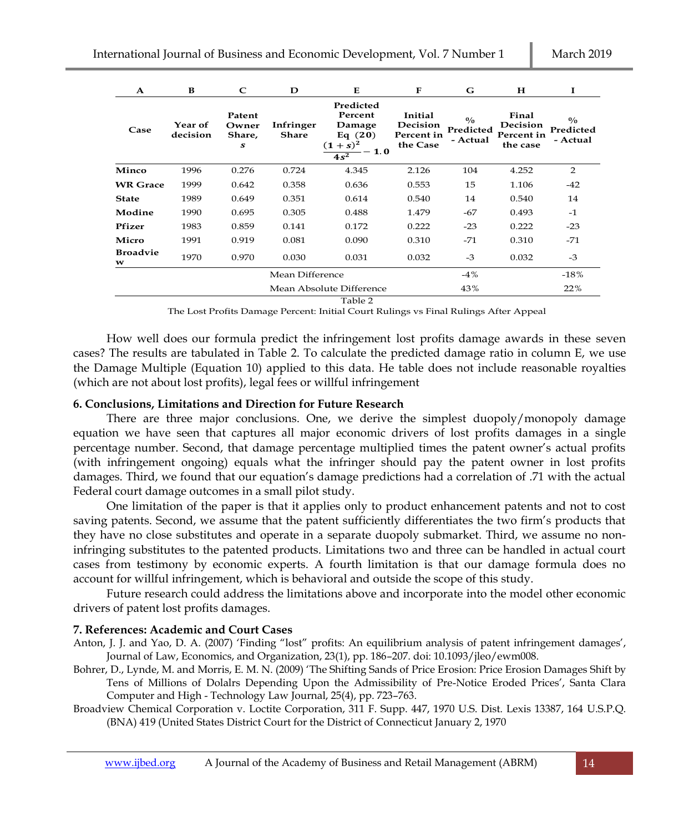| A                    | в                   | C                              | D                         | E.                                                                             | F                                             | G                                      | н                                           | I                                      |
|----------------------|---------------------|--------------------------------|---------------------------|--------------------------------------------------------------------------------|-----------------------------------------------|----------------------------------------|---------------------------------------------|----------------------------------------|
| Case                 | Year of<br>decision | Patent<br>Owner<br>Share,<br>S | Infringer<br><b>Share</b> | Predicted<br>Percent<br>Damage<br>Eq $(20)$<br>$(1 + s)^2$<br>$-1.0$<br>$4s^2$ | Initial<br>Decision<br>Percent in<br>the Case | $\frac{0}{0}$<br>Predicted<br>- Actual | Final<br>Decision<br>Percent in<br>the case | $\frac{0}{0}$<br>Predicted<br>- Actual |
| Minco                | 1996                | 0.276                          | 0.724                     | 4.345                                                                          | 2.126                                         | 104                                    | 4.252                                       | $\overline{2}$                         |
| <b>WR</b> Grace      | 1999                | 0.642                          | 0.358                     | 0.636                                                                          | 0.553                                         | 15                                     | 1.106                                       | $-42$                                  |
| <b>State</b>         | 1989                | 0.649                          | 0.351                     | 0.614                                                                          | 0.540                                         | 14                                     | 0.540                                       | 14                                     |
| Modine               | 1990                | 0.695                          | 0.305                     | 0.488                                                                          | 1.479                                         | -67                                    | 0.493                                       | $-1$                                   |
| Pfizer               | 1983                | 0.859                          | 0.141                     | 0.172                                                                          | 0.222                                         | $-23$                                  | 0.222                                       | $-23$                                  |
| Micro                | 1991                | 0.919                          | 0.081                     | 0.090                                                                          | 0.310                                         | $-71$                                  | 0.310                                       | $-71$                                  |
| <b>Broadvie</b><br>w | 1970                | 0.970                          | 0.030                     | 0.031                                                                          | 0.032                                         | $-3$                                   | 0.032                                       | $-3$                                   |
|                      |                     |                                | Mean Difference           |                                                                                |                                               | $-4%$                                  |                                             | $-18%$                                 |
|                      |                     |                                |                           | Mean Absolute Difference                                                       |                                               | 43%                                    |                                             | 22%                                    |

#### Table 2

The Lost Profits Damage Percent: Initial Court Rulings vs Final Rulings After Appeal

How well does our formula predict the infringement lost profits damage awards in these seven cases? The results are tabulated in Table 2. To calculate the predicted damage ratio in column E, we use the Damage Multiple (Equation 10) applied to this data. He table does not include reasonable royalties (which are not about lost profits), legal fees or willful infringement

#### **6. Conclusions, Limitations and Direction for Future Research**

There are three major conclusions. One, we derive the simplest duopoly/monopoly damage equation we have seen that captures all major economic drivers of lost profits damages in a single percentage number. Second, that damage percentage multiplied times the patent owner's actual profits (with infringement ongoing) equals what the infringer should pay the patent owner in lost profits damages. Third, we found that our equation's damage predictions had a correlation of .71 with the actual Federal court damage outcomes in a small pilot study.

One limitation of the paper is that it applies only to product enhancement patents and not to cost saving patents. Second, we assume that the patent sufficiently differentiates the two firm's products that they have no close substitutes and operate in a separate duopoly submarket. Third, we assume no noninfringing substitutes to the patented products. Limitations two and three can be handled in actual court cases from testimony by economic experts. A fourth limitation is that our damage formula does no account for willful infringement, which is behavioral and outside the scope of this study.

Future research could address the limitations above and incorporate into the model other economic drivers of patent lost profits damages.

# **7. References: Academic and Court Cases**

- Anton, J. J. and Yao, D. A. (2007) 'Finding "lost" profits: An equilibrium analysis of patent infringement damages', Journal of Law, Economics, and Organization, 23(1), pp. 186–207. doi: 10.1093/jleo/ewm008.
- Bohrer, D., Lynde, M. and Morris, E. M. N. (2009) 'The Shifting Sands of Price Erosion: Price Erosion Damages Shift by Tens of Millions of Dolalrs Depending Upon the Admissibility of Pre-Notice Eroded Prices', Santa Clara Computer and High - Technology Law Journal, 25(4), pp. 723–763.
- Broadview Chemical Corporation v. Loctite Corporation, 311 F. Supp. 447, 1970 U.S. Dist. Lexis 13387, 164 U.S.P.Q. (BNA) 419 (United States District Court for the District of Connecticut January 2, 1970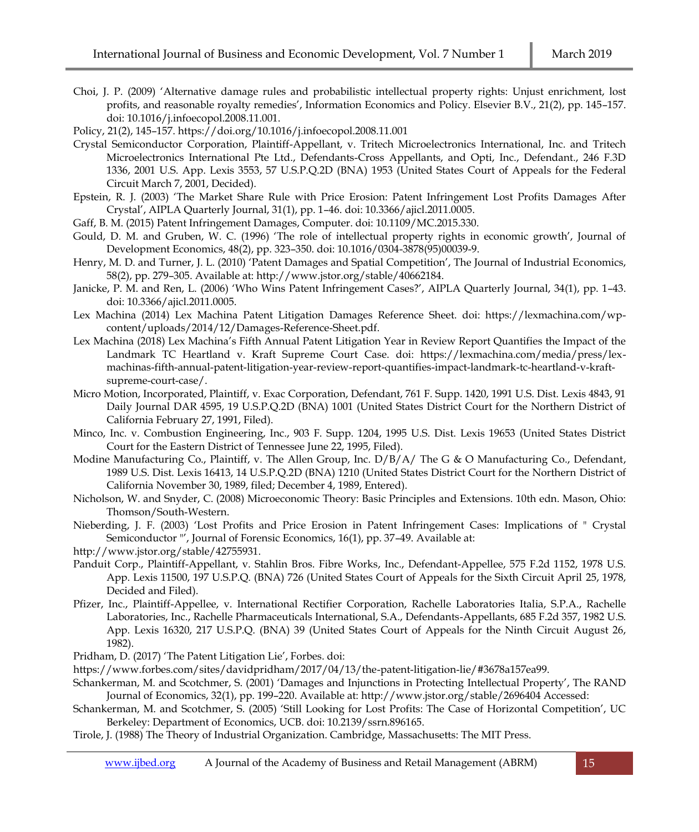- Choi, J. P. (2009) 'Alternative damage rules and probabilistic intellectual property rights: Unjust enrichment, lost profits, and reasonable royalty remedies', Information Economics and Policy. Elsevier B.V., 21(2), pp. 145–157. doi: 10.1016/j.infoecopol.2008.11.001.
- Policy, 21(2), 145–157. https://doi.org/10.1016/j.infoecopol.2008.11.001
- Crystal Semiconductor Corporation, Plaintiff-Appellant, v. Tritech Microelectronics International, Inc. and Tritech Microelectronics International Pte Ltd., Defendants-Cross Appellants, and Opti, Inc., Defendant., 246 F.3D 1336, 2001 U.S. App. Lexis 3553, 57 U.S.P.Q.2D (BNA) 1953 (United States Court of Appeals for the Federal Circuit March 7, 2001, Decided).
- Epstein, R. J. (2003) 'The Market Share Rule with Price Erosion: Patent Infringement Lost Profits Damages After Crystal', AIPLA Quarterly Journal, 31(1), pp. 1–46. doi: 10.3366/ajicl.2011.0005.
- Gaff, B. M. (2015) Patent Infringement Damages, Computer. doi: 10.1109/MC.2015.330.
- Gould, D. M. and Gruben, W. C. (1996) 'The role of intellectual property rights in economic growth', Journal of Development Economics, 48(2), pp. 323–350. doi: 10.1016/0304-3878(95)00039-9.
- Henry, M. D. and Turner, J. L. (2010) 'Patent Damages and Spatial Competition', The Journal of Industrial Economics, 58(2), pp. 279–305. Available at: http://www.jstor.org/stable/40662184.
- Janicke, P. M. and Ren, L. (2006) 'Who Wins Patent Infringement Cases?', AIPLA Quarterly Journal, 34(1), pp. 1–43. doi: 10.3366/ajicl.2011.0005.
- Lex Machina (2014) Lex Machina Patent Litigation Damages Reference Sheet. doi: https://lexmachina.com/wpcontent/uploads/2014/12/Damages-Reference-Sheet.pdf.
- Lex Machina (2018) Lex Machina's Fifth Annual Patent Litigation Year in Review Report Quantifies the Impact of the Landmark TC Heartland v. Kraft Supreme Court Case. doi: https://lexmachina.com/media/press/lexmachinas-fifth-annual-patent-litigation-year-review-report-quantifies-impact-landmark-tc-heartland-v-kraftsupreme-court-case/.
- Micro Motion, Incorporated, Plaintiff, v. Exac Corporation, Defendant, 761 F. Supp. 1420, 1991 U.S. Dist. Lexis 4843, 91 Daily Journal DAR 4595, 19 U.S.P.Q.2D (BNA) 1001 (United States District Court for the Northern District of California February 27, 1991, Filed).
- Minco, Inc. v. Combustion Engineering, Inc., 903 F. Supp. 1204, 1995 U.S. Dist. Lexis 19653 (United States District Court for the Eastern District of Tennessee June 22, 1995, Filed).
- Modine Manufacturing Co., Plaintiff, v. The Allen Group, Inc. D/B/A/ The G & O Manufacturing Co., Defendant, 1989 U.S. Dist. Lexis 16413, 14 U.S.P.Q.2D (BNA) 1210 (United States District Court for the Northern District of California November 30, 1989, filed; December 4, 1989, Entered).
- Nicholson, W. and Snyder, C. (2008) Microeconomic Theory: Basic Principles and Extensions. 10th edn. Mason, Ohio: Thomson/South-Western.
- Nieberding, J. F. (2003) 'Lost Profits and Price Erosion in Patent Infringement Cases: Implications of " Crystal Semiconductor "', Journal of Forensic Economics, 16(1), pp. 37-49. Available at:

http://www.jstor.org/stable/42755931.

- Panduit Corp., Plaintiff-Appellant, v. Stahlin Bros. Fibre Works, Inc., Defendant-Appellee, 575 F.2d 1152, 1978 U.S. App. Lexis 11500, 197 U.S.P.Q. (BNA) 726 (United States Court of Appeals for the Sixth Circuit April 25, 1978, Decided and Filed).
- Pfizer, Inc., Plaintiff-Appellee, v. International Rectifier Corporation, Rachelle Laboratories Italia, S.P.A., Rachelle Laboratories, Inc., Rachelle Pharmaceuticals International, S.A., Defendants-Appellants, 685 F.2d 357, 1982 U.S. App. Lexis 16320, 217 U.S.P.Q. (BNA) 39 (United States Court of Appeals for the Ninth Circuit August 26, 1982).

Pridham, D. (2017) 'The Patent Litigation Lie', Forbes. doi:

https://www.forbes.com/sites/davidpridham/2017/04/13/the-patent-litigation-lie/#3678a157ea99.

- Schankerman, M. and Scotchmer, S. (2001) 'Damages and Injunctions in Protecting Intellectual Property', The RAND Journal of Economics, 32(1), pp. 199–220. Available at: http://www.jstor.org/stable/2696404 Accessed:
- Schankerman, M. and Scotchmer, S. (2005) 'Still Looking for Lost Profits: The Case of Horizontal Competition', UC Berkeley: Department of Economics, UCB. doi: 10.2139/ssrn.896165.

Tirole, J. (1988) The Theory of Industrial Organization. Cambridge, Massachusetts: The MIT Press.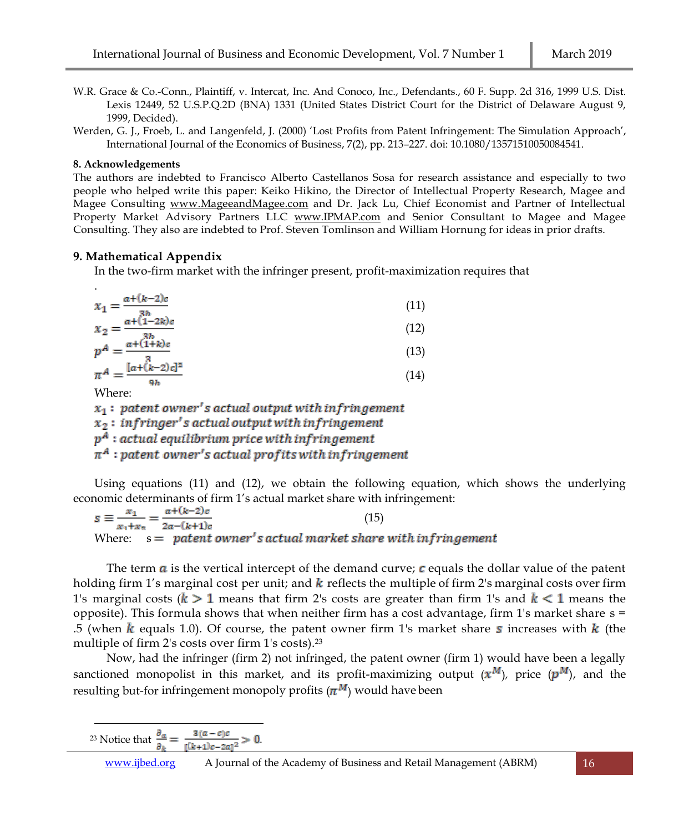- W.R. Grace & Co.-Conn., Plaintiff, v. Intercat, Inc. And Conoco, Inc., Defendants., 60 F. Supp. 2d 316, 1999 U.S. Dist. Lexis 12449, 52 U.S.P.Q.2D (BNA) 1331 (United States District Court for the District of Delaware August 9, 1999, Decided).
- Werden, G. J., Froeb, L. and Langenfeld, J. (2000) 'Lost Profits from Patent Infringement: The Simulation Approach', International Journal of the Economics of Business, 7(2), pp. 213–227. doi: 10.1080/13571510050084541.

# **8. Acknowledgements**

The authors are indebted to Francisco Alberto Castellanos Sosa for research assistance and especially to two people who helped write this paper: Keiko Hikino, the Director of Intellectual Property Research, Magee and Magee Consulting [www.MageeandMagee.com](http://www.mageeandmagee.com/) and Dr. Jack Lu, Chief Economist and Partner of Intellectual Property Market Advisory Partners LLC [www.IPMAP.com](http://www.ipmap.com/) and Senior Consultant to Magee and Magee Consulting. They also are indebted to Prof. Steven Tomlinson and William Hornung for ideas in prior drafts.

# **9. Mathematical Appendix**

In the two-firm market with the infringer present, profit-maximization requires that

| $\bullet$                                             |      |
|-------------------------------------------------------|------|
| $a+(k-2)c$<br>$x_1 =$                                 | (11) |
| $x_2 = \frac{a + (1-2k)c}{(1-2k)c}$                   | (12) |
| $p^A = \frac{a + (1+k)c}{(1+k)c}$                     | (13) |
| $\pi^A = \frac{[a + (k-2)c]^2}{[a + (k-2)c]^2}$<br>9Ъ | (14) |

Where:

 $x_1$ : patent owner's actual output with infringement  $x_2$ : infringer's actual output with infringement  $p^A$ : actual equilibrium price with infringement  $\pi^A$ : patent owner's actual profits with infringement

Using equations (11) and (12), we obtain the following equation, which shows the underlying

economic determinants of firm 1's actual market share with infringement:<br>  $s \equiv \frac{x_1}{x_1 + x_2} = \frac{a + (k-2)c}{2a - (k+1)c}$  (15) (15) Where:  $s =$  patent owner's actual market share with infringement

The term  $\boldsymbol{a}$  is the vertical intercept of the demand curve;  $\boldsymbol{c}$  equals the dollar value of the patent holding firm 1's marginal cost per unit; and  $k$  reflects the multiple of firm 2's marginal costs over firm 1's marginal costs ( $k > 1$  means that firm 2's costs are greater than firm 1's and  $k < 1$  means the opposite). This formula shows that when neither firm has a cost advantage, firm 1's market share  $s =$ .5 (when k equals 1.0). Of course, the patent owner firm 1's market share s increases with  $k$  (the multiple of firm 2's costs over firm 1's costs).<sup>23</sup>

Now, had the infringer (firm 2) not infringed, the patent owner (firm 1) would have been a legally sanctioned monopolist in this market, and its profit-maximizing output  $(x^M)$ , price  $(p^M)$ , and the resulting but-for infringement monopoly profits  $(\pi^M)$  would have been

 $\overline{a}$ <sup>23</sup> Notice that  $\frac{2a}{a} = \frac{a}{a(b+1)(a+2)} > 0$ .